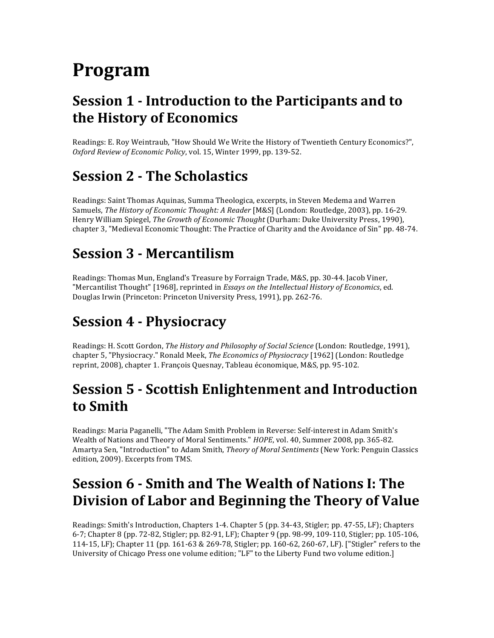# **Program**

## **Session 1 - Introduction to the Participants and to the!History!of!Economics**

Readings: E. Roy Weintraub, "How Should We Write the History of Twentieth Century Economics?", Oxford Review of Economic Policy, vol. 15, Winter 1999, pp. 139-52.

## **Session 2 - The Scholastics**

Readings: Saint Thomas Aquinas, Summa Theologica, excerpts, in Steven Medema and Warren Samuels, *The History of Economic Thought: A Reader* [M&S] (London: Routledge, 2003), pp. 16-29. Henry William Spiegel, *The Growth of Economic Thought* (Durham: Duke University Press, 1990), chapter 3, "Medieval Economic Thought: The Practice of Charity and the Avoidance of Sin" pp. 48-74.

## **Session!3!) Mercantilism**

Readings: Thomas Mun, England's Treasure by Forraign Trade, M&S, pp. 30-44. Jacob Viner, "Mercantilist Thought" [1968], reprinted in *Essays on the Intellectual History of Economics*, ed. Douglas Irwin (Princeton: Princeton University Press, 1991), pp. 262-76.

# **Session 4 - Physiocracy**

Readings: H. Scott Gordon, The History and Philosophy of Social Science (London: Routledge, 1991), chapter 5, "Physiocracy." Ronald Meek, *The Economics of Physiocracy* [1962] (London: Routledge reprint, 2008), chapter 1. François Quesnay, Tableau économique, M&S, pp. 95-102.

## **Session 5 - Scottish Enlightenment and Introduction to!Smith**

Readings: Maria Paganelli, "The Adam Smith Problem in Reverse: Self-interest in Adam Smith's Wealth of Nations and Theory of Moral Sentiments." *HOPE*, vol. 40, Summer 2008, pp. 365-82. Amartya Sen, "Introduction" to Adam Smith, *Theory of Moral Sentiments* (New York: Penguin Classics edition, 2009). Excerpts from TMS.

# **Session 6 - Smith and The Wealth of Nations I: The Division of Labor and Beginning the Theory of Value**

Readings: Smith's Introduction, Chapters 1-4. Chapter 5 (pp. 34-43, Stigler; pp. 47-55, LF); Chapters 6-7; Chapter 8 (pp. 72-82, Stigler; pp. 82-91, LF); Chapter 9 (pp. 98-99, 109-110, Stigler; pp. 105-106, 114-15, LF); Chapter 11 (pp. 161-63 & 269-78, Stigler; pp. 160-62, 260-67, LF). ["Stigler" refers to the University of Chicago Press one volume edition; "LF" to the Liberty Fund two volume edition.]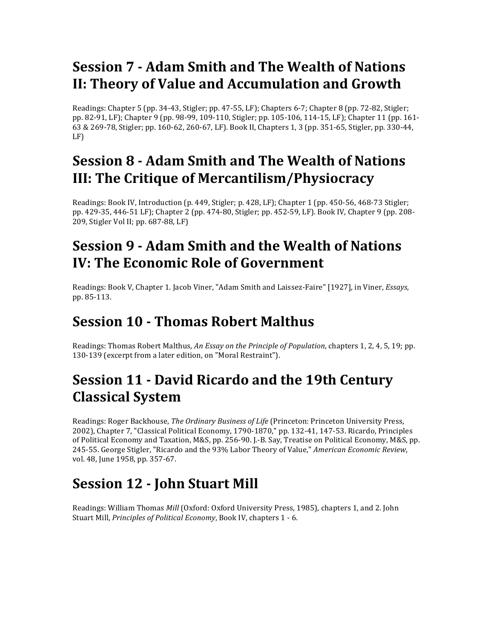# **Session!7!) Adam!Smith!and!The!Wealth!of!Nations! II: Theory of Value and Accumulation and Growth**

Readings: Chapter 5 (pp. 34-43, Stigler; pp. 47-55, LF); Chapters 6-7; Chapter 8 (pp. 72-82, Stigler; pp. 82-91, LF); Chapter 9 (pp. 98-99, 109-110, Stigler; pp. 105-106, 114-15, LF); Chapter 11 (pp. 161- $63$  & 269-78, Stigler; pp. 160-62, 260-67, LF). Book II, Chapters 1, 3 (pp. 351-65, Stigler, pp. 330-44, LF)

# **Session 8 - Adam Smith and The Wealth of Nations III: The Critique of Mercantilism/Physiocracy**

Readings: Book IV, Introduction (p. 449, Stigler; p. 428, LF); Chapter 1 (pp. 450-56, 468-73 Stigler; pp. 429-35, 446-51 LF); Chapter 2 (pp. 474-80, Stigler; pp. 452-59, LF). Book IV, Chapter 9 (pp. 208-209, Stigler Vol II; pp. 687-88, LF)

## **Session 9 - Adam Smith and the Wealth of Nations IV: The Economic Role of Government**

Readings: Book V, Chapter 1. Jacob Viner, "Adam Smith and Laissez-Faire" [1927], in Viner, *Essays*, pp. 85-113.

## **Session 10 - Thomas Robert Malthus**

Readings: Thomas Robert Malthus, An Essay on the Principle of Population, chapters 1, 2, 4, 5, 19; pp. 130-139 (excerpt from a later edition, on "Moral Restraint").

# **Session 11 - David Ricardo and the 19th Century Classical!System**

Readings: Roger Backhouse, The Ordinary Business of Life (Princeton: Princeton University Press, 2002), Chapter 7, "Classical Political Economy, 1790-1870," pp. 132-41, 147-53. Ricardo, Principles of Political Economy and Taxation, M&S, pp. 256-90. I.-B. Say, Treatise on Political Economy, M&S, pp. 245-55. George Stigler, "Ricardo and the 93% Labor Theory of Value," *American Economic Review*, vol. 48, June 1958, pp. 357-67.

# **Session 12 - John Stuart Mill**

Readings: William Thomas *Mill* (Oxford: Oxford University Press, 1985), chapters 1, and 2. John Stuart Mill, *Principles of Political Economy*, Book IV, chapters 1 - 6.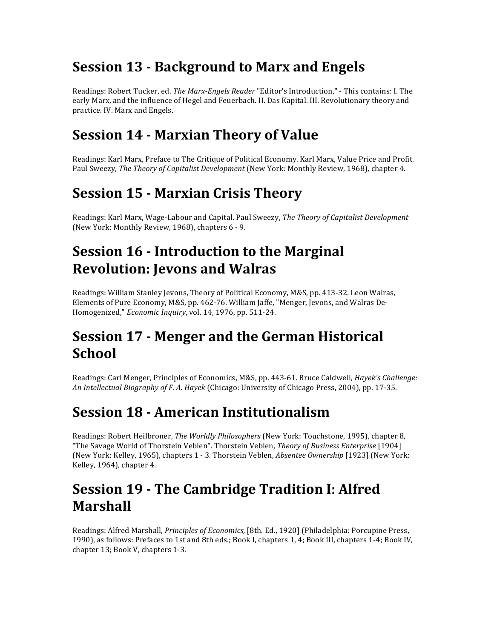# **Session 13 - Background to Marx and Engels**

Readings: Robert Tucker, ed. *The Marx-Engels Reader* "Editor's Introduction," - This contains: I. The early Marx, and the influence of Hegel and Feuerbach. II. Das Kapital. III. Revolutionary theory and practice. IV. Marx and Engels.

#### **Session 14 - Marxian Theory of Value**

Readings: Karl Marx, Preface to The Critique of Political Economy. Karl Marx, Value Price and Profit. Paul Sweezy, The Theory of Capitalist Development (New York: Monthly Review, 1968), chapter 4.

### **Session 15 - Marxian Crisis Theory**

Readings: Karl Marx, Wage-Labour and Capital. Paul Sweezy, *The Theory of Capitalist Development* (New York: Monthly Review, 1968), chapters 6 - 9.

## **Session 16 - Introduction to the Marginal Revolution: Jevons and Walras**

Readings: William Stanley Jevons, Theory of Political Economy, M&S, pp. 413-32. Leon Walras, Elements of Pure Economy, M&S, pp. 462-76. William Jaffe, "Menger, Jevons, and Walras De-Homogenized," *Economic Inquiry*, vol. 14, 1976, pp. 511-24.

## **Session 17 - Menger and the German Historical School**

Readings: Carl Menger, Principles of Economics, M&S, pp. 443-61. Bruce Caldwell, *Hayek's Challenge:* An Intellectual Biography of F. A. Hayek (Chicago: University of Chicago Press, 2004), pp. 17-35.

## **Session 18 - American Institutionalism**

Readings: Robert Heilbroner, *The Worldly Philosophers* (New York: Touchstone, 1995), chapter 8, "The Savage World of Thorstein Veblen". Thorstein Veblen, Theory of Business Enterprise [1904] (New York: Kelley, 1965), chapters 1 - 3. Thorstein Veblen, *Absentee Ownership* [1923] (New York: Kelley, 1964), chapter 4.

## **Session 19 - The Cambridge Tradition I: Alfred Marshall**

Readings: Alfred Marshall, *Principles of Economics*, [8th. Ed., 1920] (Philadelphia: Porcupine Press, 1990), as follows: Prefaces to 1st and 8th eds.; Book I, chapters 1, 4; Book III, chapters 1-4; Book IV, chapter 13; Book V, chapters 1-3.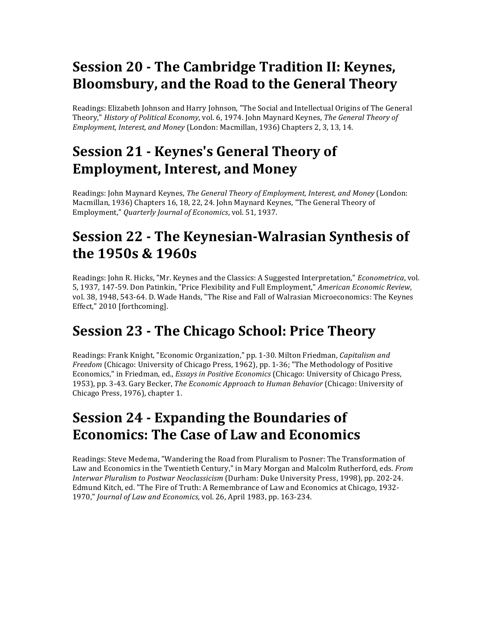# **Session 20 - The Cambridge Tradition II: Keynes, Bloomsbury, and the Road to the General Theory**

Readings: Elizabeth Johnson and Harry Johnson, "The Social and Intellectual Origins of The General Theory,"\**History'of'Political'Economy*,\*vol.\*6,\*1974.\*John\*Maynard\*Keynes,\**The'General'Theory'of' Employment, Interest, and Money* (London: Macmillan, 1936) Chapters 2, 3, 13, 14.

## **Session 21 - Keynes's General Theory of Employment, Interest, and Money**

Readings: John Maynard Keynes, *The General Theory of Employment, Interest, and Money* (London: Macmillan, 1936) Chapters 16, 18, 22, 24. John Maynard Keynes, "The General Theory of Employment," *Quarterly Journal of Economics*, vol. 51, 1937.

# **Session 22 - The Keynesian-Walrasian Synthesis of the!1950s!&!1960s**

Readings: John R. Hicks, "Mr. Keynes and the Classics: A Suggested Interpretation," *Econometrica*, vol. 5, 1937, 147-59. Don Patinkin, "Price Flexibility and Full Employment," *American Economic Review*, vol. 38, 1948, 543-64. D. Wade Hands, "The Rise and Fall of Walrasian Microeconomics: The Keynes Effect," 2010 [forthcoming].

## **Session 23 - The Chicago School: Price Theory**

Readings: Frank Knight, "Economic Organization," pp. 1-30. Milton Friedman, *Capitalism and Freedom* (Chicago: University of Chicago Press, 1962), pp. 1-36; "The Methodology of Positive Economics," in Friedman, ed., *Essays in Positive Economics* (Chicago: University of Chicago Press, 1953), pp. 3-43. Gary Becker, *The Economic Approach to Human Behavior* (Chicago: University of Chicago Press, 1976), chapter 1.

# **Session 24 - Expanding the Boundaries of Economics: The Case of Law and Economics**

Readings: Steve Medema, "Wandering the Road from Pluralism to Posner: The Transformation of Law and Economics in the Twentieth Century," in Mary Morgan and Malcolm Rutherford, eds. *From Interwar Pluralism to Postwar Neoclassicism* (Durham: Duke University Press, 1998), pp. 202-24. Edmund Kitch, ed. "The Fire of Truth: A Remembrance of Law and Economics at Chicago, 1932-1970," *Journal of Law and Economics*, vol. 26, April 1983, pp. 163-234.